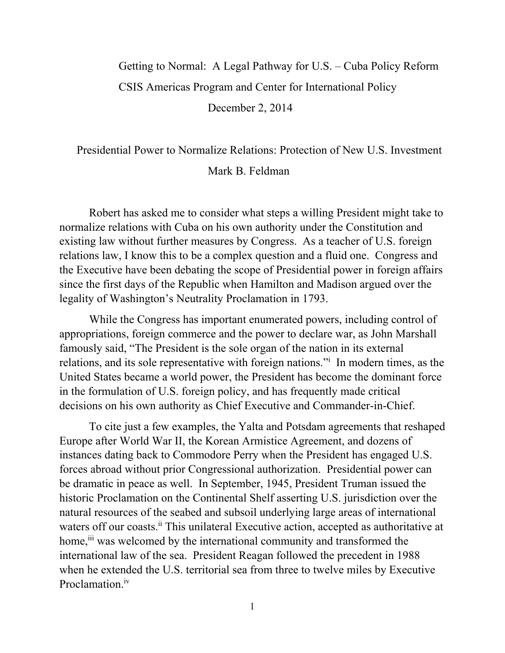## Getting to Normal: A Legal Pathway for U.S. – Cuba Policy Reform CSIS Americas Program and Center for International Policy December 2, 2014

## Presidential Power to Normalize Relations: Protection of New U.S. Investment Mark B. Feldman

Robert has asked me to consider what steps a willing President might take to normalize relations with Cuba on his own authority under the Constitution and existing law without further measures by Congress. As a teacher of U.S. foreign relations law, I know this to be a complex question and a fluid one. Congress and the Executive have been debating the scope of Presidential power in foreign affairs since the first days of the Republic when Hamilton and Madison argued over the legality of Washington's Neutrality Proclamation in 1793.

While the Congress has important enumerated powers, including control of appropriations, foreign commerce and the power to declare war, as John Marshall famously said, "The President is the sole organ of the nation in its external relations, and its sole representative with foreign nations." In modern times, as the United States became a world power, the President has become the dominant force in the formulation of U.S. foreign policy, and has frequently made critical decisions on his own authority as Chief Executive and Commander-in-Chief.

To cite just a few examples, the Yalta and Potsdam agreements that reshaped Europe after World War II, the Korean Armistice Agreement, and dozens of instances dating back to Commodore Perry when the President has engaged U.S. forces abroad without prior Congressional authorization. Presidential power can be dramatic in peace as well. In September, 1945, President Truman issued the historic Proclamation on the Continental Shelf asserting U.S. jurisdiction over the natural resources of the seabed and subsoil underlying large areas of international waters off our coasts.<sup>ii</sup> This unilateral Executive action, accepted as authoritative at home, <sup>iii</sup> was welcomed by the international community and transformed the international law of the sea. President Reagan followed the precedent in 1988 when he extended the U.S. territorial sea from three to twelve miles by Executive Proclamation<sup>iv</sup>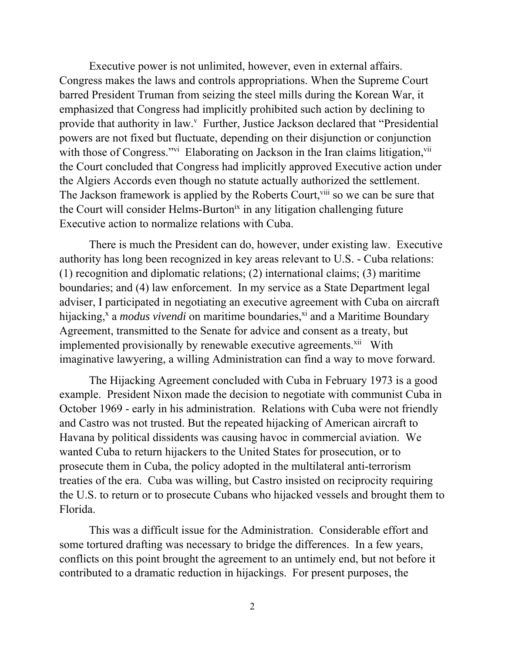Executive power is not unlimited, however, even in external affairs. Congress makes the laws and controls appropriations. When the Supreme Court barred President Truman from seizing the steel mills during the Korean War, it emphasized that Congress had implicitly prohibited such action by declining to provide that authority in law.<sup>v</sup> Further, Justice Jackson declared that "Presidential powers are not fixed but fluctuate, depending on their disjunction or conjunction with those of Congress."vi Elaborating on Jackson in the Iran claims litigation,<sup>vii</sup> the Court concluded that Congress had implicitly approved Executive action under the Algiers Accords even though no statute actually authorized the settlement. The Jackson framework is applied by the Roberts Court, vill so we can be sure that the Court will consider Helms-Burton<sup>ix</sup> in any litigation challenging future Executive action to normalize relations with Cuba.

There is much the President can do, however, under existing law. Executive authority has long been recognized in key areas relevant to U.S. - Cuba relations: (1) recognition and diplomatic relations; (2) international claims; (3) maritime boundaries; and (4) law enforcement. In my service as a State Department legal adviser, I participated in negotiating an executive agreement with Cuba on aircraft hijacking,<sup>x</sup> a *modus vivendi* on maritime boundaries,<sup>xi</sup> and a Maritime Boundary Agreement, transmitted to the Senate for advice and consent as a treaty, but implemented provisionally by renewable executive agreements.<sup>xii</sup> With imaginative lawyering, a willing Administration can find a way to move forward.

The Hijacking Agreement concluded with Cuba in February 1973 is a good example. President Nixon made the decision to negotiate with communist Cuba in October 1969 - early in his administration. Relations with Cuba were not friendly and Castro was not trusted. But the repeated hijacking of American aircraft to Havana by political dissidents was causing havoc in commercial aviation. We wanted Cuba to return hijackers to the United States for prosecution, or to prosecute them in Cuba, the policy adopted in the multilateral anti-terrorism treaties of the era. Cuba was willing, but Castro insisted on reciprocity requiring the U.S. to return or to prosecute Cubans who hijacked vessels and brought them to Florida.

This was a difficult issue for the Administration. Considerable effort and some tortured drafting was necessary to bridge the differences. In a few years, conflicts on this point brought the agreement to an untimely end, but not before it contributed to a dramatic reduction in hijackings. For present purposes, the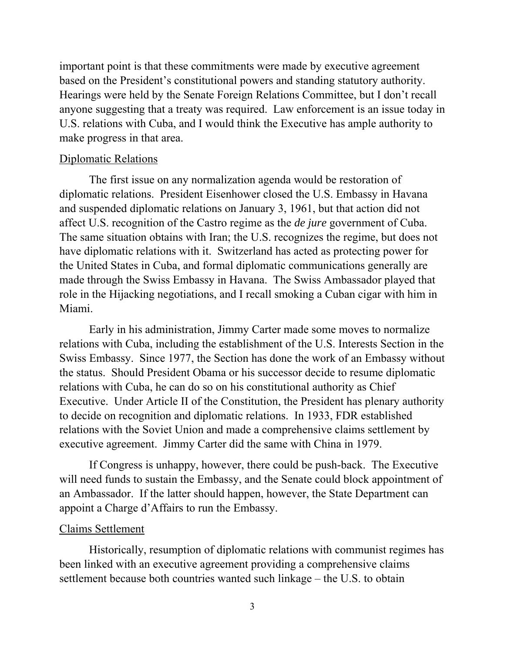important point is that these commitments were made by executive agreement based on the President's constitutional powers and standing statutory authority. Hearings were held by the Senate Foreign Relations Committee, but I don't recall anyone suggesting that a treaty was required. Law enforcement is an issue today in U.S. relations with Cuba, and I would think the Executive has ample authority to make progress in that area.

## Diplomatic Relations

The first issue on any normalization agenda would be restoration of diplomatic relations. President Eisenhower closed the U.S. Embassy in Havana and suspended diplomatic relations on January 3, 1961, but that action did not affect U.S. recognition of the Castro regime as the *de jure* government of Cuba. The same situation obtains with Iran; the U.S. recognizes the regime, but does not have diplomatic relations with it. Switzerland has acted as protecting power for the United States in Cuba, and formal diplomatic communications generally are made through the Swiss Embassy in Havana. The Swiss Ambassador played that role in the Hijacking negotiations, and I recall smoking a Cuban cigar with him in Miami.

Early in his administration, Jimmy Carter made some moves to normalize relations with Cuba, including the establishment of the U.S. Interests Section in the Swiss Embassy. Since 1977, the Section has done the work of an Embassy without the status. Should President Obama or his successor decide to resume diplomatic relations with Cuba, he can do so on his constitutional authority as Chief Executive. Under Article II of the Constitution, the President has plenary authority to decide on recognition and diplomatic relations. In 1933, FDR established relations with the Soviet Union and made a comprehensive claims settlement by executive agreement. Jimmy Carter did the same with China in 1979.

If Congress is unhappy, however, there could be push-back. The Executive will need funds to sustain the Embassy, and the Senate could block appointment of an Ambassador. If the latter should happen, however, the State Department can appoint a Charge d'Affairs to run the Embassy.

## Claims Settlement

Historically, resumption of diplomatic relations with communist regimes has been linked with an executive agreement providing a comprehensive claims settlement because both countries wanted such linkage – the U.S. to obtain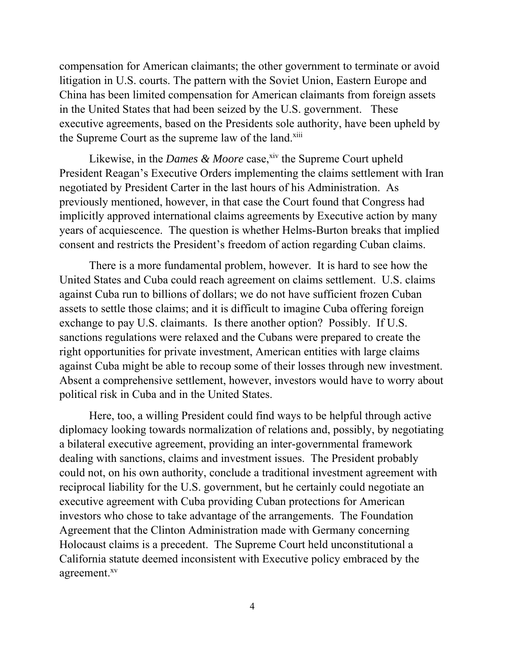compensation for American claimants; the other government to terminate or avoid litigation in U.S. courts. The pattern with the Soviet Union, Eastern Europe and China has been limited compensation for American claimants from foreign assets in the United States that had been seized by the U.S. government. These executive agreements, based on the Presidents sole authority, have been upheld by the Supreme Court as the supreme law of the land.xiii

Likewise, in the *Dames & Moore* case,<sup>xiv</sup> the Supreme Court upheld President Reagan's Executive Orders implementing the claims settlement with Iran negotiated by President Carter in the last hours of his Administration. As previously mentioned, however, in that case the Court found that Congress had implicitly approved international claims agreements by Executive action by many years of acquiescence. The question is whether Helms-Burton breaks that implied consent and restricts the President's freedom of action regarding Cuban claims.

There is a more fundamental problem, however. It is hard to see how the United States and Cuba could reach agreement on claims settlement. U.S. claims against Cuba run to billions of dollars; we do not have sufficient frozen Cuban assets to settle those claims; and it is difficult to imagine Cuba offering foreign exchange to pay U.S. claimants. Is there another option? Possibly. If U.S. sanctions regulations were relaxed and the Cubans were prepared to create the right opportunities for private investment, American entities with large claims against Cuba might be able to recoup some of their losses through new investment. Absent a comprehensive settlement, however, investors would have to worry about political risk in Cuba and in the United States.

Here, too, a willing President could find ways to be helpful through active diplomacy looking towards normalization of relations and, possibly, by negotiating a bilateral executive agreement, providing an inter-governmental framework dealing with sanctions, claims and investment issues. The President probably could not, on his own authority, conclude a traditional investment agreement with reciprocal liability for the U.S. government, but he certainly could negotiate an executive agreement with Cuba providing Cuban protections for American investors who chose to take advantage of the arrangements. The Foundation Agreement that the Clinton Administration made with Germany concerning Holocaust claims is a precedent. The Supreme Court held unconstitutional a California statute deemed inconsistent with Executive policy embraced by the agreement.<sup>xv</sup>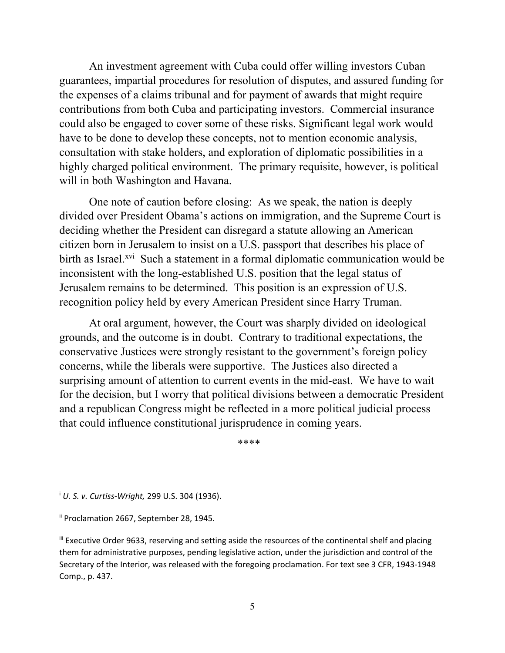An investment agreement with Cuba could offer willing investors Cuban guarantees, impartial procedures for resolution of disputes, and assured funding for the expenses of a claims tribunal and for payment of awards that might require contributions from both Cuba and participating investors. Commercial insurance could also be engaged to cover some of these risks. Significant legal work would have to be done to develop these concepts, not to mention economic analysis, consultation with stake holders, and exploration of diplomatic possibilities in a highly charged political environment. The primary requisite, however, is political will in both Washington and Havana.

One note of caution before closing: As we speak, the nation is deeply divided over President Obama's actions on immigration, and the Supreme Court is deciding whether the President can disregard a statute allowing an American citizen born in Jerusalem to insist on a U.S. passport that describes his place of birth as Israel.<sup>xvi</sup> Such a statement in a formal diplomatic communication would be inconsistent with the long-established U.S. position that the legal status of Jerusalem remains to be determined. This position is an expression of U.S. recognition policy held by every American President since Harry Truman.

At oral argument, however, the Court was sharply divided on ideological grounds, and the outcome is in doubt. Contrary to traditional expectations, the conservative Justices were strongly resistant to the government's foreign policy concerns, while the liberals were supportive. The Justices also directed a surprising amount of attention to current events in the mid-east. We have to wait for the decision, but I worry that political divisions between a democratic President and a republican Congress might be reflected in a more political judicial process that could influence constitutional jurisprudence in coming years.

\*\*\*\*

 $\overline{a}$ 

<sup>i</sup> *U. S. v. Curtiss‐Wright,* 299 U.S. 304 (1936).

ii Proclamation 2667, September 28, 1945.

III Executive Order 9633, reserving and setting aside the resources of the continental shelf and placing them for administrative purposes, pending legislative action, under the jurisdiction and control of the Secretary of the Interior, was released with the foregoing proclamation. For text see 3 CFR, 1943‐1948 Comp., p. 437.